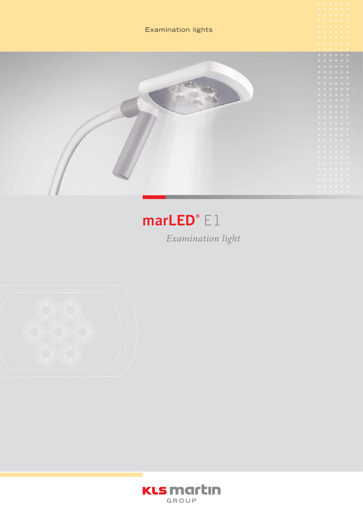

# $marLED^{\circ} E1$

Examination light



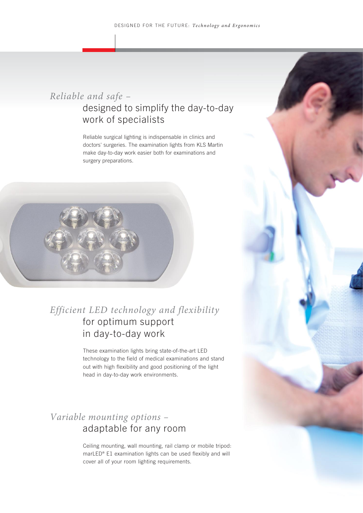#### *Reliable and safe –*  designed to simplify the day-to-day work of specialists

Reliable surgical lighting is indispensable in clinics and doctors' surgeries. The examination lights from KLS Martin make day-to-day work easier both for examinations and surgery preparations.



#### *Efficient LED technology and flexibility* for optimum support in day-to-day work

These examination lights bring state-of-the-art LED technology to the field of medical examinations and stand out with high flexibility and good positioning of the light head in day-to-day work environments.

## *Variable mounting options –* adaptable for any room

Ceiling mounting, wall mounting, rail clamp or mobile tripod: marLED® E1 examination lights can be used flexibly and will cover all of your room lighting requirements.

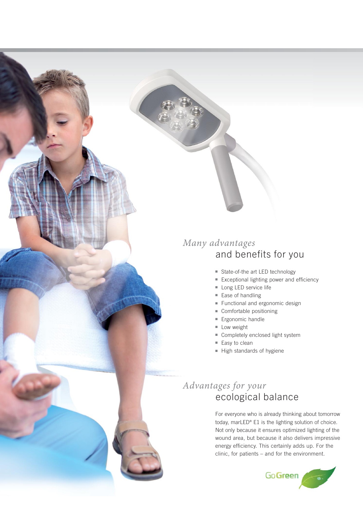## *Many advantages* and benefits for you

- State-of-the art LED technology
- Exceptional lighting power and efficiency
- Long LED service life
- Ease of handling
- Functional and ergonomic design
- Comfortable positioning
- Ergonomic handle
- Low weight
- Completely enclosed light system
- Easy to clean
- High standards of hygiene

# *Advantages for your* ecological balance

For everyone who is already thinking about tomorrow today, marLED® E1 is the lighting solution of choice. Not only because it ensures optimized lighting of the wound area, but because it also delivers impressive energy efficiency. This certainly adds up. For the clinic, for patients – and for the environment.

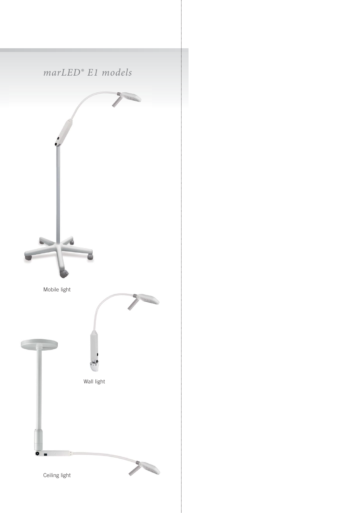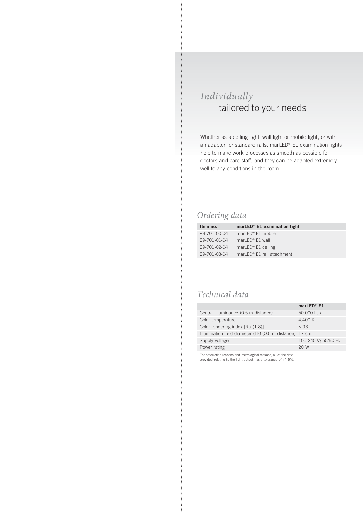#### *Individually*  tailored to your needs

Whether as a ceiling light, wall light or mobile light, or with an adapter for standard rails, marLED® E1 examination lights help to make work processes as smooth as possible for doctors and care staff, and they can be adapted extremely well to any conditions in the room.

#### *Ordering data*

| Item no.     | marLED <sup>®</sup> E1 examination light |
|--------------|------------------------------------------|
| 89-701-00-04 | marLED <sup>®</sup> $E1$ mobile          |
| 89-701-01-04 | marLED <sup>®</sup> $E1$ wall            |
| 89-701-02-04 | marLED <sup>®</sup> $E1$ ceiling         |
| 89-701-03-04 | marLED <sup>®</sup> E1 rail attachment   |

#### *Technical data*

|                                                        | marLED <sup>®</sup> $E1$ |
|--------------------------------------------------------|--------------------------|
| Central illuminance (0.5 m distance)                   | 50,000 Lux               |
| Color temperature                                      | 4,400 K                  |
| Color rendering index [Ra (1-8)]                       | > 93                     |
| Illumination field diameter d10 (0.5 m distance) 17 cm |                          |
| Supply voltage                                         | 100-240 V; 50/60 Hz      |
| Power rating                                           | 20 W                     |

For production reasons and metrological reasons, all of the data provided relating to the light output has a tolerance of +/- 5%.